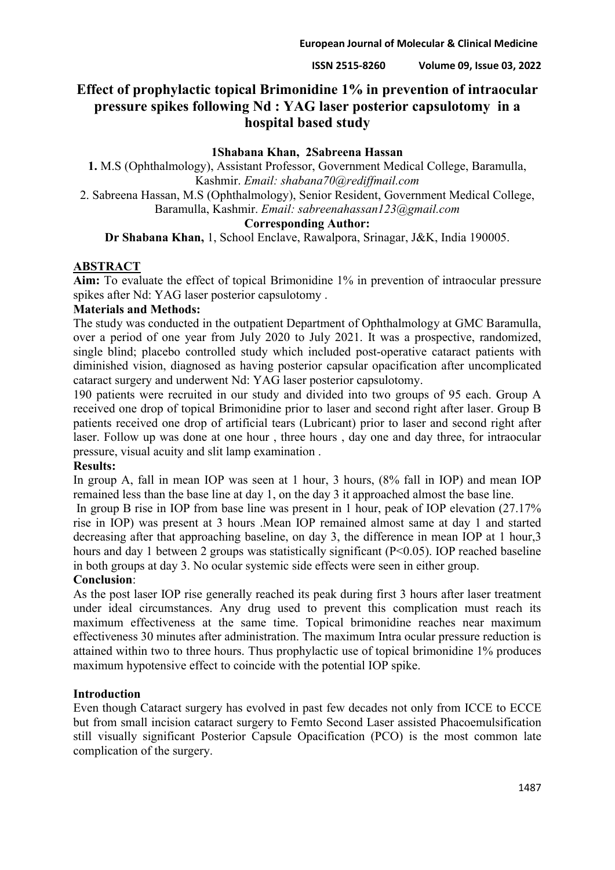# **Effect of prophylactic topical Brimonidine 1% in prevention of intraocular pressure spikes following Nd : YAG laser posterior capsulotomy in a hospital based study**

## **1Shabana Khan, 2Sabreena Hassan**

**1.** M.S (Ophthalmology), Assistant Professor, Government Medical College, Baramulla, Kashmir. *Email: shabana70@rediffmail.com*

2. Sabreena Hassan, M.S (Ophthalmology), Senior Resident, Government Medical College, Baramulla, Kashmir. *Email: sabreenahassan123@gmail.com*

## **Corresponding Author:**

**Dr Shabana Khan,** 1, School Enclave, Rawalpora, Srinagar, J&K, India 190005.

## **ABSTRACT**

**Aim:** To evaluate the effect of topical Brimonidine 1% in prevention of intraocular pressure spikes after Nd: YAG laser posterior capsulotomy .

## **Materials and Methods:**

The study was conducted in the outpatient Department of Ophthalmology at GMC Baramulla, over a period of one year from July 2020 to July 2021. It was a prospective, randomized, single blind; placebo controlled study which included post-operative cataract patients with diminished vision, diagnosed as having posterior capsular opacification after uncomplicated cataract surgery and underwent Nd: YAG laser posterior capsulotomy.

190 patients were recruited in our study and divided into two groups of 95 each. Group A received one drop of topical Brimonidine prior to laser and second right after laser. Group B patients received one drop of artificial tears (Lubricant) prior to laser and second right after laser. Follow up was done at one hour , three hours , day one and day three, for intraocular pressure, visual acuity and slit lamp examination .

## **Results:**

In group A, fall in mean IOP was seen at 1 hour, 3 hours, (8% fall in IOP) and mean IOP remained less than the base line at day 1, on the day 3 it approached almost the base line.

In group B rise in IOP from base line was present in 1 hour, peak of IOP elevation (27.17% rise in IOP) was present at 3 hours .Mean IOP remained almost same at day 1 and started decreasing after that approaching baseline, on day 3, the difference in mean IOP at 1 hour,3 hours and day 1 between 2 groups was statistically significant (P<0.05). IOP reached baseline in both groups at day 3. No ocular systemic side effects were seen in either group.

## **Conclusion**:

As the post laser IOP rise generally reached its peak during first 3 hours after laser treatment under ideal circumstances. Any drug used to prevent this complication must reach its maximum effectiveness at the same time. Topical brimonidine reaches near maximum effectiveness 30 minutes after administration. The maximum Intra ocular pressure reduction is attained within two to three hours. Thus prophylactic use of topical brimonidine 1% produces maximum hypotensive effect to coincide with the potential IOP spike.

## **Introduction**

Even though Cataract surgery has evolved in past few decades not only from ICCE to ECCE but from small incision cataract surgery to Femto Second Laser assisted Phacoemulsification still visually significant Posterior Capsule Opacification (PCO) is the most common late complication of the surgery.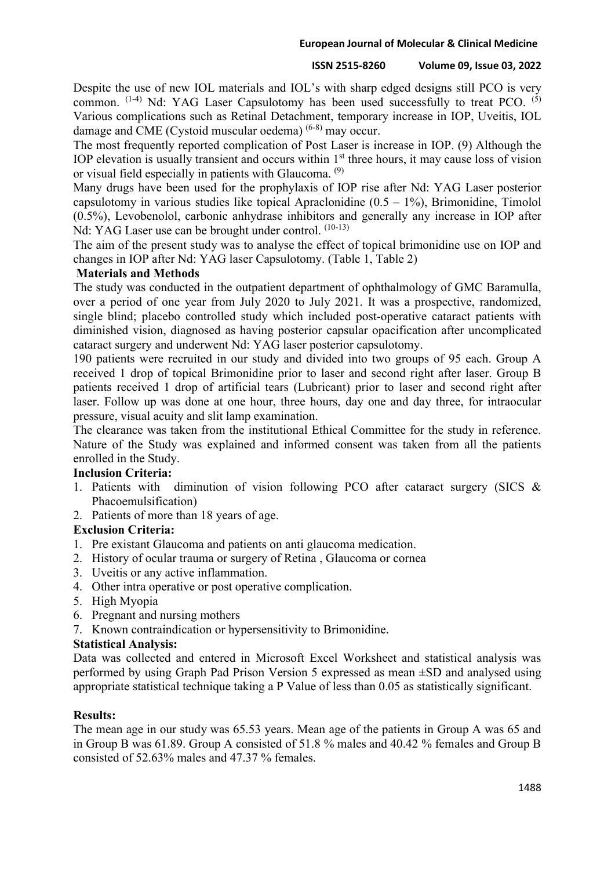#### **European Journal of Molecular & Clinical Medicine**

#### **ISSN 2515-8260 Volume 09, Issue 03, 2022**

Despite the use of new IOL materials and IOL's with sharp edged designs still PCO is very common.  $(1-4)$  Nd: YAG Laser Capsulotomy has been used successfully to treat PCO.  $(5)$ Various complications such as Retinal Detachment, temporary increase in IOP, Uveitis, IOL damage and CME (Cystoid muscular oedema) (6-8) may occur.

The most frequently reported complication of Post Laser is increase in IOP. (9) Although the IOP elevation is usually transient and occurs within 1<sup>st</sup> three hours, it may cause loss of vision or visual field especially in patients with Glaucoma. (9)

Many drugs have been used for the prophylaxis of IOP rise after Nd: YAG Laser posterior capsulotomy in various studies like topical Apraclonidine  $(0.5 - 1\%)$ , Brimonidine, Timolol (0.5%), Levobenolol, carbonic anhydrase inhibitors and generally any increase in IOP after Nd: YAG Laser use can be brought under control.  $(10-13)$ 

The aim of the present study was to analyse the effect of topical brimonidine use on IOP and changes in IOP after Nd: YAG laser Capsulotomy. (Table 1, Table 2)

## **Materials and Methods**

The study was conducted in the outpatient department of ophthalmology of GMC Baramulla, over a period of one year from July 2020 to July 2021. It was a prospective, randomized, single blind; placebo controlled study which included post-operative cataract patients with diminished vision, diagnosed as having posterior capsular opacification after uncomplicated cataract surgery and underwent Nd: YAG laser posterior capsulotomy.

190 patients were recruited in our study and divided into two groups of 95 each. Group A received 1 drop of topical Brimonidine prior to laser and second right after laser. Group B patients received 1 drop of artificial tears (Lubricant) prior to laser and second right after laser. Follow up was done at one hour, three hours, day one and day three, for intraocular pressure, visual acuity and slit lamp examination.

The clearance was taken from the institutional Ethical Committee for the study in reference. Nature of the Study was explained and informed consent was taken from all the patients enrolled in the Study.

## **Inclusion Criteria:**

- 1. Patients with diminution of vision following PCO after cataract surgery (SICS & Phacoemulsification)
- 2. Patients of more than 18 years of age.

## **Exclusion Criteria:**

- 1. Pre existant Glaucoma and patients on anti glaucoma medication.
- 2. History of ocular trauma or surgery of Retina , Glaucoma or cornea
- 3. Uveitis or any active inflammation.
- 4. Other intra operative or post operative complication.
- 5. High Myopia
- 6. Pregnant and nursing mothers
- 7. Known contraindication or hypersensitivity to Brimonidine.

## **Statistical Analysis:**

Data was collected and entered in Microsoft Excel Worksheet and statistical analysis was performed by using Graph Pad Prison Version 5 expressed as mean ±SD and analysed using appropriate statistical technique taking a P Value of less than 0.05 as statistically significant.

## **Results:**

The mean age in our study was 65.53 years. Mean age of the patients in Group A was 65 and in Group B was 61.89. Group A consisted of 51.8 % males and 40.42 % females and Group B consisted of 52.63% males and 47.37 % females.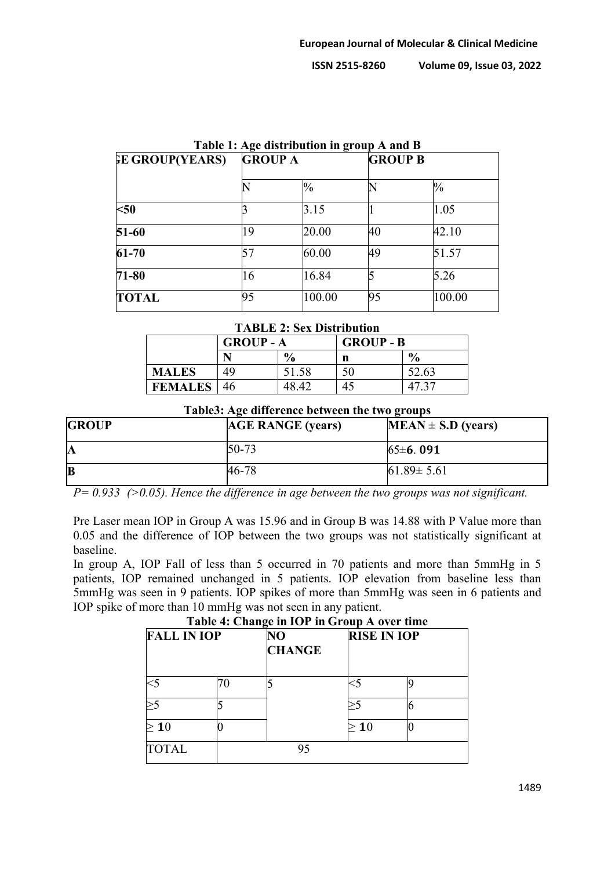| <b>EE GROUP(YEARS)</b> | $  -$<br><b>GROUP A</b> |               |    | <b>GROUP B</b> |  |  |
|------------------------|-------------------------|---------------|----|----------------|--|--|
|                        |                         |               |    |                |  |  |
|                        |                         | $\frac{0}{0}$ |    | $\frac{0}{0}$  |  |  |
| $50$                   |                         | 3.15          |    | 1.05           |  |  |
| 51-60                  | 19                      | 20.00         | 40 | 42.10          |  |  |
| $61 - 70$              |                         | 60.00         | 49 | 51.57          |  |  |
| 71-80                  | 16                      | 16.84         |    | 5.26           |  |  |
| <b>TOTAL</b>           | 95                      | 100.00        | 95 | 100.00         |  |  |

## **Table 1: Age distribution in group A and B**

#### **TABLE 2: Sex Distribution**

|                | <b>GROUP-A</b> |               | <b>GROUP - B</b> |               |  |
|----------------|----------------|---------------|------------------|---------------|--|
|                |                | $\frac{6}{9}$ | n                | $\frac{0}{0}$ |  |
| <b>MALES</b>   | 49             | 51.58         | 50               | 52.63         |  |
| <b>FEMALES</b> | -46            | 48.42         | 45               |               |  |

#### **Table3: Age difference between the two groups**

| <b>GROUP</b> | <b>AGE RANGE (years)</b> | $MEAN \pm S.D$ (years) |
|--------------|--------------------------|------------------------|
| IA           | $50 - 73$                | 65±6.091               |
| $ {\bf B} $  | 46-78                    | $61.89 \pm 5.61$       |

*P= 0.933 (>0.05). Hence the difference in age between the two groups was not significant.*

Pre Laser mean IOP in Group A was 15.96 and in Group B was 14.88 with P Value more than 0.05 and the difference of IOP between the two groups was not statistically significant at baseline.

In group A, IOP Fall of less than 5 occurred in 70 patients and more than 5mmHg in 5 patients, IOP remained unchanged in 5 patients. IOP elevation from baseline less than 5mmHg was seen in 9 patients. IOP spikes of more than 5mmHg was seen in 6 patients and IOP spike of more than 10 mmHg was not seen in any patient.

| <b>FALL IN IOP</b> |  | Table 4. Change in TOT in Group A over this<br>$\bf NO$<br><b>CHANGE</b> |            | <b>RISE IN IOP</b> |  |  |
|--------------------|--|--------------------------------------------------------------------------|------------|--------------------|--|--|
|                    |  |                                                                          |            |                    |  |  |
|                    |  |                                                                          |            |                    |  |  |
| 10                 |  |                                                                          | <b>1</b> 0 |                    |  |  |
| <b>TOTAL</b>       |  |                                                                          |            |                    |  |  |

#### **Table 4: Change in IOP in Group A over time**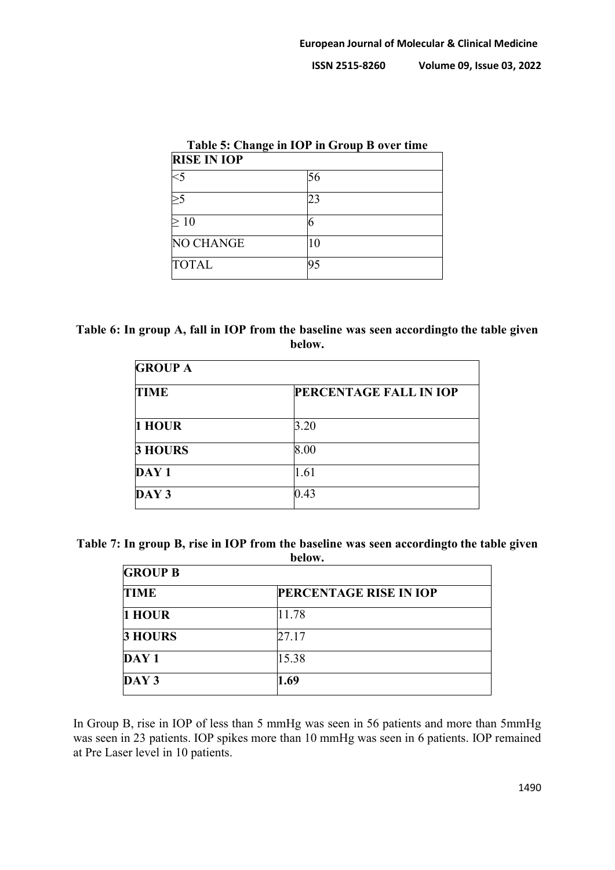| Table 5: Change in IOP in Group B over time<br><b>RISE IN IOP</b> |    |  |  |  |
|-------------------------------------------------------------------|----|--|--|--|
|                                                                   |    |  |  |  |
|                                                                   | 23 |  |  |  |
| >10                                                               |    |  |  |  |
| NO CHANGE                                                         | 10 |  |  |  |
| <b>TOTAL</b>                                                      |    |  |  |  |

## **Table 6: In group A, fall in IOP from the baseline was seen accordingto the table given below.**

| <b>GROUP A</b> |                               |  |  |  |
|----------------|-------------------------------|--|--|--|
| <b>TIME</b>    | <b>PERCENTAGE FALL IN IOP</b> |  |  |  |
| 1 HOUR         | 3.20                          |  |  |  |
| <b>3 HOURS</b> | 8.00                          |  |  |  |
| DAY 1          | 1.61                          |  |  |  |
| DAY 3          | 0.43                          |  |  |  |

| Table 7: In group B, rise in IOP from the baseline was seen according to the table given |
|------------------------------------------------------------------------------------------|
| below.                                                                                   |

| <b>GROUP B</b>   |                               |  |  |  |
|------------------|-------------------------------|--|--|--|
| <b>TIME</b>      | <b>PERCENTAGE RISE IN IOP</b> |  |  |  |
| 1 HOUR           | 11.78                         |  |  |  |
| 3 HOURS          | 27.17                         |  |  |  |
| DAY <sub>1</sub> | 15.38                         |  |  |  |
| DAY <sub>3</sub> | .69                           |  |  |  |

In Group B, rise in IOP of less than 5 mmHg was seen in 56 patients and more than 5mmHg was seen in 23 patients. IOP spikes more than 10 mmHg was seen in 6 patients. IOP remained at Pre Laser level in 10 patients.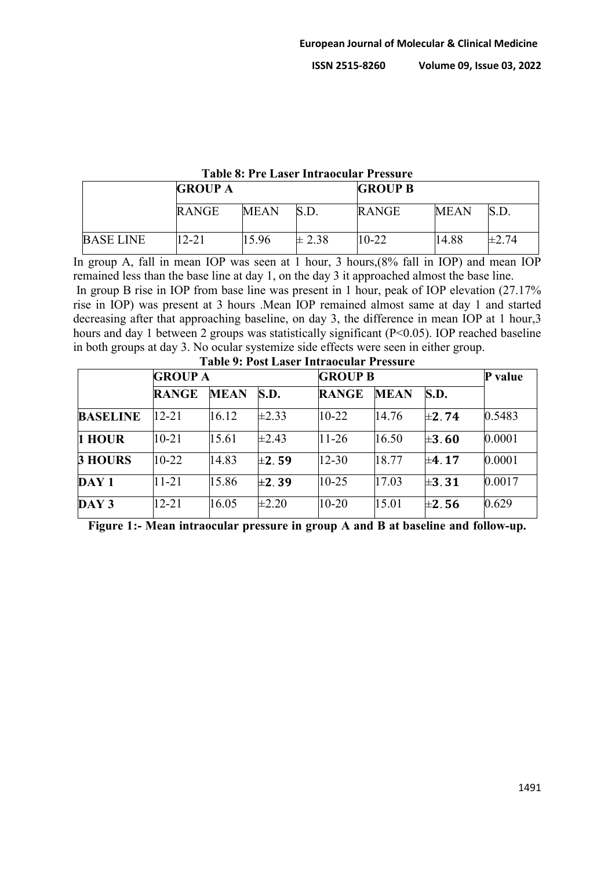|                  | TADIU 0. TTU LASUT TIIH AUUAHAT TTUSSATU |             |            |                |             |            |  |  |  |
|------------------|------------------------------------------|-------------|------------|----------------|-------------|------------|--|--|--|
|                  | <b>GROUP A</b>                           |             |            | <b>GROUP B</b> |             |            |  |  |  |
|                  | <b>RANGE</b>                             | <b>MEAN</b> | S.D.       | <b>RANGE</b>   | <b>MEAN</b> | S.D.       |  |  |  |
| <b>BASE LINE</b> | 12-21                                    | 15.96       | $\pm 2.38$ | $10-22$        | 14.88       | $\pm 2.74$ |  |  |  |

## **Table 8: Pre Laser Intraocular Pressure**

In group A, fall in mean IOP was seen at 1 hour, 3 hours,(8% fall in IOP) and mean IOP remained less than the base line at day 1, on the day 3 it approached almost the base line. In group B rise in IOP from base line was present in 1 hour, peak of IOP elevation (27.17% rise in IOP) was present at 3 hours .Mean IOP remained almost same at day 1 and started decreasing after that approaching baseline, on day 3, the difference in mean IOP at 1 hour,3 hours and day 1 between 2 groups was statistically significant (P<0.05). IOP reached baseline in both groups at day 3. No ocular systemize side effects were seen in either group. **Table 0: Post La** 

|                  | <b>GROUP A</b> |             |            | <b>GROUP B</b> | P value     |            |        |
|------------------|----------------|-------------|------------|----------------|-------------|------------|--------|
|                  | <b>RANGE</b>   | <b>MEAN</b> | S.D.       | <b>RANGE</b>   | <b>MEAN</b> | S.D.       |        |
| <b>BASELINE</b>  | $12 - 21$      | 16.12       | $\pm 2.33$ | $10-22$        | 14.76       | $\pm 2.74$ | 0.5483 |
| 1 HOUR           | $10 - 21$      | 15.61       | $\pm 2.43$ | $11-26$        | 16.50       | $\pm 3.60$ | 0.0001 |
| <b>3 HOURS</b>   | $10-22$        | 14.83       | $\pm 2.59$ | $12 - 30$      | 18.77       | $\pm 4.17$ | 0.0001 |
| $\bf{DAY1}$      | $11 - 21$      | 15.86       | $\pm 2.39$ | $10 - 25$      | 17.03       | $\pm 3.31$ | 0.0017 |
| DAY <sub>3</sub> | $12 - 21$      | 16.05       | $\pm 2.20$ | $10-20$        | 15.01       | $\pm 2.56$ | 0.629  |

**Figure 1:- Mean intraocular pressure in group A and B at baseline and follow-up.**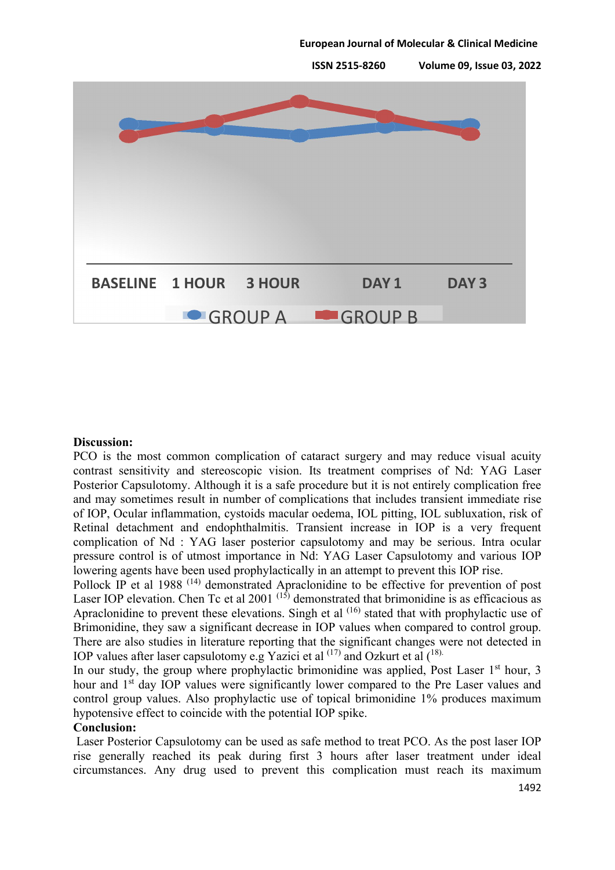

#### **Discussion:**

PCO is the most common complication of cataract surgery and may reduce visual acuity contrast sensitivity and stereoscopic vision. Its treatment comprises of Nd: YAG Laser Posterior Capsulotomy. Although it is a safe procedure but it is not entirely complication free and may sometimes result in number of complications that includes transient immediate rise of IOP, Ocular inflammation, cystoids macular oedema, IOL pitting, IOL subluxation, risk of Retinal detachment and endophthalmitis. Transient increase in IOP is a very frequent complication of Nd : YAG laser posterior capsulotomy and may be serious. Intra ocular pressure control is of utmost importance in Nd: YAG Laser Capsulotomy and various IOP lowering agents have been used prophylactically in an attempt to prevent this IOP rise.

Pollock IP et al 1988<sup>(14)</sup> demonstrated Apraclonidine to be effective for prevention of post Laser IOP elevation. Chen Tc et al 2001<sup>(15)</sup> demonstrated that brimonidine is as efficacious as Apraclonidine to prevent these elevations. Singh et al  $(16)$  stated that with prophylactic use of Brimonidine, they saw a significant decrease in IOP values when compared to control group. There are also studies in literature reporting that the significant changes were not detected in IOP values after laser capsulotomy e.g Yazici et al  $^{(17)}$  and Ozkurt et al  $^{(18)}$ .

In our study, the group where prophylactic brimonidine was applied, Post Laser  $1<sup>st</sup>$  hour, 3 hour and 1<sup>st</sup> day IOP values were significantly lower compared to the Pre Laser values and control group values. Also prophylactic use of topical brimonidine 1% produces maximum hypotensive effect to coincide with the potential IOP spike.

#### **Conclusion:**

Laser Posterior Capsulotomy can be used as safe method to treat PCO. As the post laser IOP rise generally reached its peak during first 3 hours after laser treatment under ideal circumstances. Any drug used to prevent this complication must reach its maximum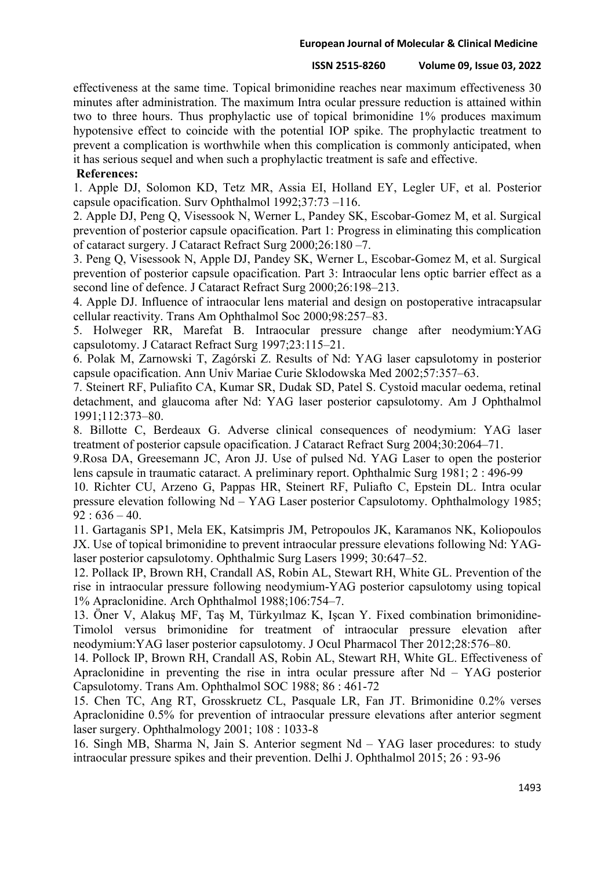#### **European Journal of Molecular & Clinical Medicine**

#### **ISSN 2515-8260 Volume 09, Issue 03, 2022**

effectiveness at the same time. Topical brimonidine reaches near maximum effectiveness 30 minutes after administration. The maximum Intra ocular pressure reduction is attained within two to three hours. Thus prophylactic use of topical brimonidine 1% produces maximum hypotensive effect to coincide with the potential IOP spike. The prophylactic treatment to prevent a complication is worthwhile when this complication is commonly anticipated, when it has serious sequel and when such a prophylactic treatment is safe and effective.

## **References:**

1. Apple DJ, Solomon KD, Tetz MR, Assia EI, Holland EY, Legler UF, et al. Posterior capsule opacification. Surv Ophthalmol 1992;37:73 –116.

2. Apple DJ, Peng Q, Visessook N, Werner L, Pandey SK, Escobar-Gomez M, et al. Surgical prevention of posterior capsule opacification. Part 1: Progress in eliminating this complication of cataract surgery. J Cataract Refract Surg 2000;26:180 –7.

3. Peng Q, Visessook N, Apple DJ, Pandey SK, Werner L, Escobar-Gomez M, et al. Surgical prevention of posterior capsule opacification. Part 3: Intraocular lens optic barrier effect as a second line of defence. J Cataract Refract Surg 2000;26:198–213.

4. Apple DJ. Influence of intraocular lens material and design on postoperative intracapsular cellular reactivity. Trans Am Ophthalmol Soc 2000;98:257–83.

5. Holweger RR, Marefat B. Intraocular pressure change after neodymium:YAG capsulotomy. J Cataract Refract Surg 1997;23:115–21.

6. Polak M, Zarnowski T, Zagórski Z. Results of Nd: YAG laser capsulotomy in posterior capsule opacification. Ann Univ Mariae Curie Sklodowska Med 2002;57:357–63.

7. Steinert RF, Puliafito CA, Kumar SR, Dudak SD, Patel S. Cystoid macular oedema, retinal detachment, and glaucoma after Nd: YAG laser posterior capsulotomy. Am J Ophthalmol 1991;112:373–80.

8. Billotte C, Berdeaux G. Adverse clinical consequences of neodymium: YAG laser treatment of posterior capsule opacification. J Cataract Refract Surg 2004;30:2064–71.

9.Rosa DA, Greesemann JC, Aron JJ. Use of pulsed Nd. YAG Laser to open the posterior lens capsule in traumatic cataract. A preliminary report. Ophthalmic Surg 1981; 2 : 496-99

10. Richter CU, Arzeno G, Pappas HR, Steinert RF, Puliafto C, Epstein DL. Intra ocular pressure elevation following Nd – YAG Laser posterior Capsulotomy. Ophthalmology 1985;  $92:636-40.$ 

11. Gartaganis SP1, Mela EK, Katsimpris JM, Petropoulos JK, Karamanos NK, Koliopoulos JX. Use of topical brimonidine to prevent intraocular pressure elevations following Nd: YAGlaser posterior capsulotomy. Ophthalmic Surg Lasers 1999; 30:647–52.

12. Pollack IP, Brown RH, Crandall AS, Robin AL, Stewart RH, White GL. Prevention of the rise in intraocular pressure following neodymium-YAG posterior capsulotomy using topical 1% Apraclonidine. Arch Ophthalmol 1988;106:754–7.

13. Öner V, Alakuş MF, Taş M, Türkyılmaz K, Işcan Y. Fixed combination brimonidine-Timolol versus brimonidine for treatment of intraocular pressure elevation after neodymium:YAG laser posterior capsulotomy. J Ocul Pharmacol Ther 2012;28:576–80.

14. Pollock IP, Brown RH, Crandall AS, Robin AL, Stewart RH, White GL. Effectiveness of Apraclonidine in preventing the rise in intra ocular pressure after Nd – YAG posterior Capsulotomy. Trans Am. Ophthalmol SOC 1988; 86 : 461-72

15. Chen TC, Ang RT, Grosskruetz CL, Pasquale LR, Fan JT. Brimonidine 0.2% verses Apraclonidine 0.5% for prevention of intraocular pressure elevations after anterior segment laser surgery. Ophthalmology 2001; 108 : 1033-8

16. Singh MB, Sharma N, Jain S. Anterior segment Nd – YAG laser procedures: to study intraocular pressure spikes and their prevention. Delhi J. Ophthalmol 2015; 26 : 93-96